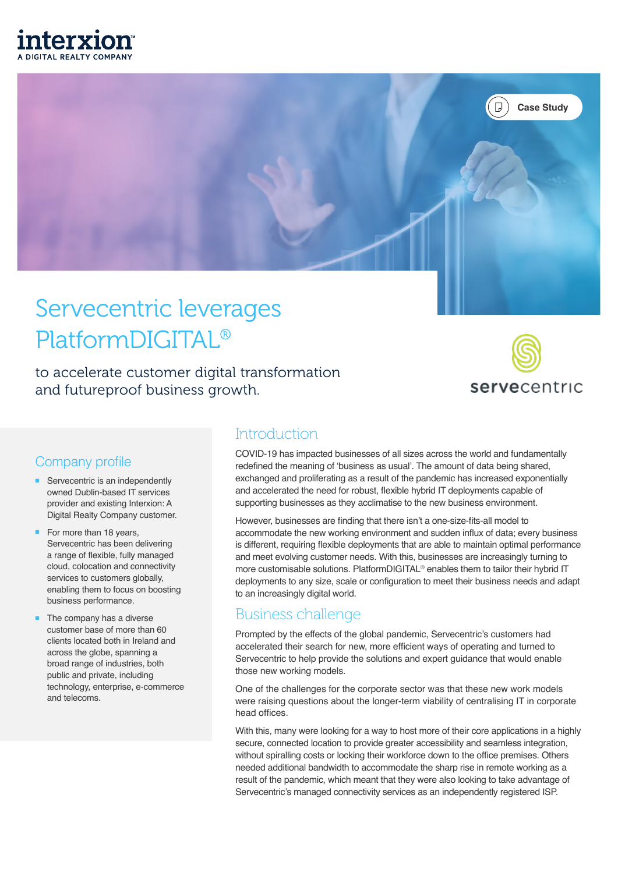



# Servecentric leverages PlatformDIGITAL®

to accelerate customer digital transformation and futureproof business growth.



#### Company profile

- Servecentric is an independently owned Dublin-based IT services provider and existing Interxion: A Digital Realty Company customer.
- For more than 18 years, Servecentric has been delivering a range of flexible, fully managed cloud, colocation and connectivity services to customers globally, enabling them to focus on boosting business performance.
- The company has a diverse customer base of more than 60 clients located both in Ireland and across the globe, spanning a broad range of industries, both public and private, including technology, enterprise, e-commerce and telecoms.

#### **Introduction**

COVID-19 has impacted businesses of all sizes across the world and fundamentally redefined the meaning of 'business as usual'. The amount of data being shared, exchanged and proliferating as a result of the pandemic has increased exponentially and accelerated the need for robust, flexible hybrid IT deployments capable of supporting businesses as they acclimatise to the new business environment.

However, businesses are finding that there isn't a one-size-fits-all model to accommodate the new working environment and sudden influx of data; every business is different, requiring flexible deployments that are able to maintain optimal performance and meet evolving customer needs. With this, businesses are increasingly turning to more customisable solutions. PlatformDIGITAL<sup>®</sup> enables them to tailor their hybrid IT deployments to any size, scale or configuration to meet their business needs and adapt to an increasingly digital world.

### Business challenge

Prompted by the effects of the global pandemic, Servecentric's customers had accelerated their search for new, more efficient ways of operating and turned to Servecentric to help provide the solutions and expert guidance that would enable those new working models.

One of the challenges for the corporate sector was that these new work models were raising questions about the longer-term viability of centralising IT in corporate head offices.

With this, many were looking for a way to host more of their core applications in a highly secure, connected location to provide greater accessibility and seamless integration, without spiralling costs or locking their workforce down to the office premises. Others needed additional bandwidth to accommodate the sharp rise in remote working as a result of the pandemic, which meant that they were also looking to take advantage of Servecentric's managed connectivity services as an independently registered ISP.